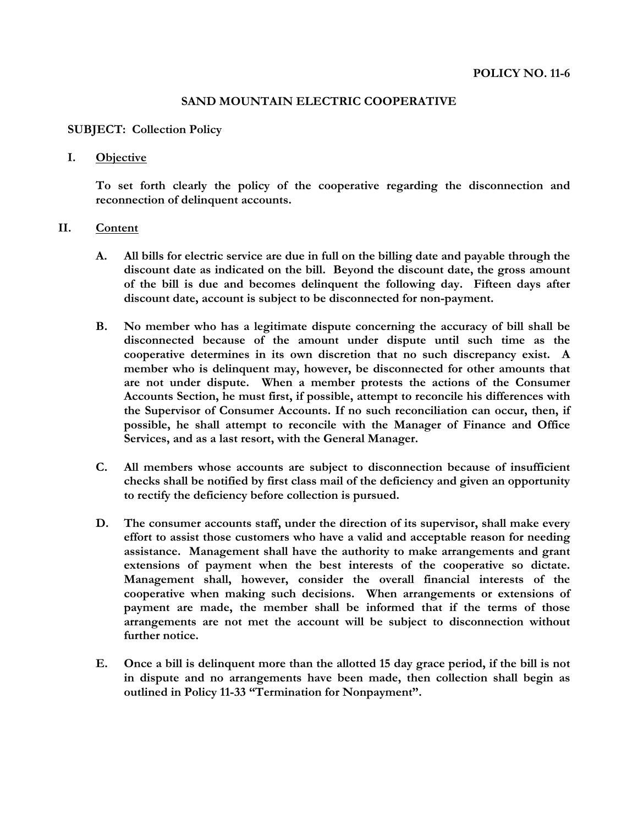## **SAND MOUNTAIN ELECTRIC COOPERATIVE**

## **SUBJECT: Collection Policy**

## **I. Objective**

**To set forth clearly the policy of the cooperative regarding the disconnection and reconnection of delinquent accounts.**

## **II. Content**

- **A. All bills for electric service are due in full on the billing date and payable through the discount date as indicated on the bill. Beyond the discount date, the gross amount of the bill is due and becomes delinquent the following day. Fifteen days after discount date, account is subject to be disconnected for non-payment.**
- **B. No member who has a legitimate dispute concerning the accuracy of bill shall be disconnected because of the amount under dispute until such time as the cooperative determines in its own discretion that no such discrepancy exist. A member who is delinquent may, however, be disconnected for other amounts that are not under dispute. When a member protests the actions of the Consumer Accounts Section, he must first, if possible, attempt to reconcile his differences with the Supervisor of Consumer Accounts. If no such reconciliation can occur, then, if possible, he shall attempt to reconcile with the Manager of Finance and Office Services, and as a last resort, with the General Manager.**
- **C. All members whose accounts are subject to disconnection because of insufficient checks shall be notified by first class mail of the deficiency and given an opportunity to rectify the deficiency before collection is pursued.**
- **D. The consumer accounts staff, under the direction of its supervisor, shall make every effort to assist those customers who have a valid and acceptable reason for needing assistance. Management shall have the authority to make arrangements and grant extensions of payment when the best interests of the cooperative so dictate. Management shall, however, consider the overall financial interests of the cooperative when making such decisions. When arrangements or extensions of payment are made, the member shall be informed that if the terms of those arrangements are not met the account will be subject to disconnection without further notice.**
- **E. Once a bill is delinquent more than the allotted 15 day grace period, if the bill is not in dispute and no arrangements have been made, then collection shall begin as outlined in Policy 11-33 "Termination for Nonpayment".**